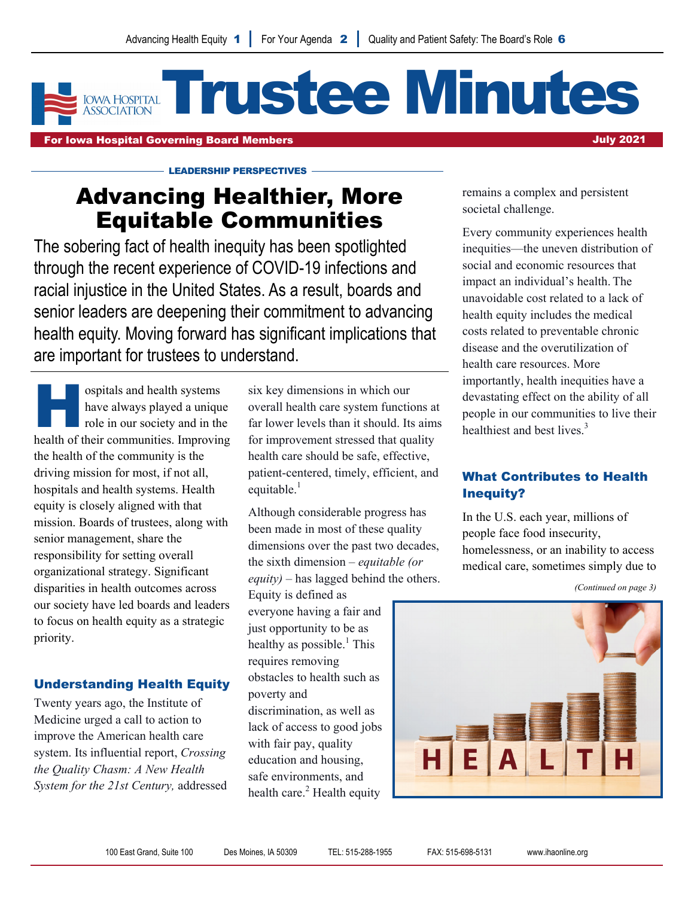# Trustee Minutes **IOWA HOSPITAL**

For Iowa Hospital Governing Board Members July 2021

# Advancing Healthier, More Equitable Communities

LEADERSHIP PERSPECTIVES

The sobering fact of health inequity has been spotlighted through the recent experience of COVID-19 infections and racial injustice in the United States. As a result, boards and senior leaders are deepening their commitment to advancing health equity. Moving forward has significant implications that are important for trustees to understand.

ospitals and health systems<br>have always played a uniqu<br>role in our society and in the<br>health of their communities Improving have always played a unique role in our society and in the health of their communities. Improving the health of the community is the driving mission for most, if not all, hospitals and health systems. Health equity is closely aligned with that mission. Boards of trustees, along with senior management, share the responsibility for setting overall organizational strategy. Significant disparities in health outcomes across our society have led boards and leaders to focus on health equity as a strategic priority.

# Understanding Health Equity

Twenty years ago, the Institute of Medicine urged a call to action to improve the American health care system. Its influential report, *Crossing the Quality Chasm: A New Health System for the 21st Century,* addressed six key dimensions in which our overall health care system functions at far lower levels than it should. Its aims for improvement stressed that quality health care should be safe, effective, patient-centered, timely, efficient, and equitable. $<sup>1</sup>$ </sup>

Although considerable progress has been made in most of these quality dimensions over the past two decades, the sixth dimension – *equitable (or equity)* – has lagged behind the others.

Equity is defined as everyone having a fair and just opportunity to be as healthy as possible.<sup>1</sup> This requires removing obstacles to health such as poverty and discrimination, as well as lack of access to good jobs with fair pay, quality education and housing, safe environments, and health care. $<sup>2</sup>$  Health equity</sup>

remains a complex and persistent societal challenge.

Every community experiences health inequities—the uneven distribution of social and economic resources that impact an individual's health. The unavoidable cost related to a lack of health equity includes the medical costs related to preventable chronic disease and the overutilization of health care resources. More importantly, health inequities have a devastating effect on the ability of all people in our communities to live their healthiest and best lives. $3$ 

# What Contributes to Health Inequity?

In the U.S. each year, millions of people face food insecurity, homelessness, or an inability to access medical care, sometimes simply due to

*(Continued on page 3)* 

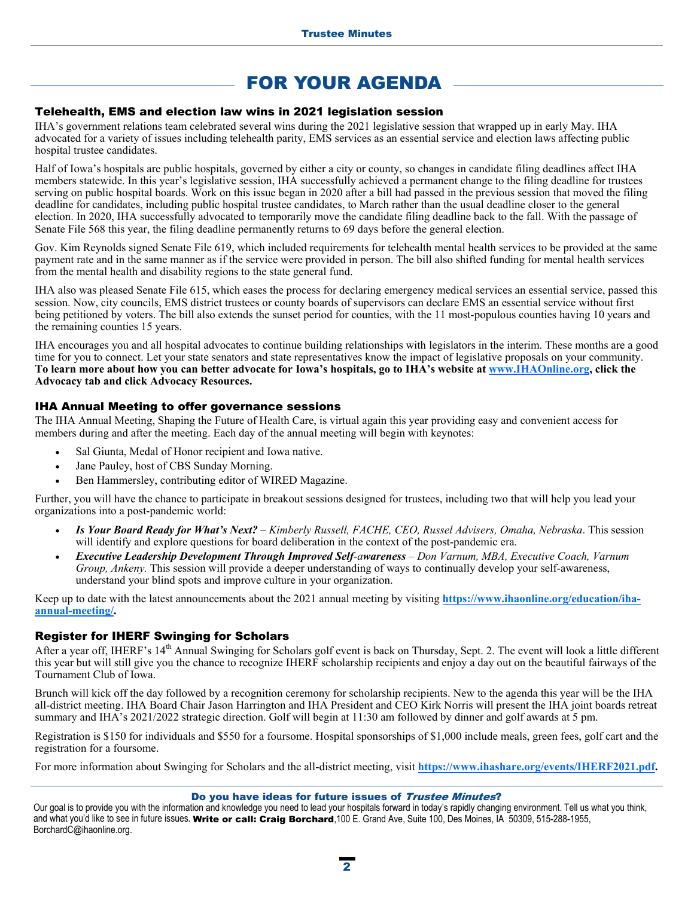# FOR YOUR AGENDA

#### Telehealth, EMS and election law wins in 2021 legislation session

IHA's government relations team celebrated several wins during the 2021 legislative session that wrapped up in early May. IHA advocated for a variety of issues including telehealth parity, EMS services as an essential service and election laws affecting public hospital trustee candidates.

Half of Iowa's hospitals are public hospitals, governed by either a city or county, so changes in candidate filing deadlines affect IHA members statewide. In this year's legislative session, IHA successfully achieved a permanent change to the filing deadline for trustees serving on public hospital boards. Work on this issue began in 2020 after a bill had passed in the previous session that moved the filing deadline for candidates, including public hospital trustee candidates, to March rather than the usual deadline closer to the general election. In 2020, IHA successfully advocated to temporarily move the candidate filing deadline back to the fall. With the passage of Senate File 568 this year, the filing deadline permanently returns to 69 days before the general election.

Gov. Kim Reynolds signed Senate File 619, which included requirements for telehealth mental health services to be provided at the same payment rate and in the same manner as if the service were provided in person. The bill also shifted funding for mental health services from the mental health and disability regions to the state general fund.

IHA also was pleased Senate File 615, which eases the process for declaring emergency medical services an essential service, passed this session. Now, city councils, EMS district trustees or county boards of supervisors can declare EMS an essential service without first being petitioned by voters. The bill also extends the sunset period for counties, with the 11 most-populous counties having 10 years and the remaining counties 15 years.

IHA encourages you and all hospital advocates to continue building relationships with legislators in the interim. These months are a good time for you to connect. Let your state senators and state representatives know the impact of legislative proposals on your community. **To learn more about how you can better advocate for Iowa's hospitals, go to IHA's website at www.IHAOnline.org, click the Advocacy tab and click Advocacy Resources.**

#### IHA Annual Meeting to offer governance sessions

The IHA Annual Meeting, Shaping the Future of Health Care, is virtual again this year providing easy and convenient access for members during and after the meeting. Each day of the annual meeting will begin with keynotes:

- Sal Giunta, Medal of Honor recipient and Iowa native.
- Jane Pauley, host of CBS Sunday Morning.
- Ben Hammersley, contributing editor of WIRED Magazine.

Further, you will have the chance to participate in breakout sessions designed for trustees, including two that will help you lead your organizations into a post-pandemic world:

- *Is Your Board Ready for What's Next? Kimberly Russell, FACHE, CEO, Russel Advisers, Omaha, Nebraska*. This session will identify and explore questions for board deliberation in the context of the post-pandemic era.
- *Executive Leadership Development Through Improved Self-awareness Don Varnum, MBA, Executive Coach, Varnum Group, Ankeny.* This session will provide a deeper understanding of ways to continually develop your self-awareness, understand your blind spots and improve culture in your organization.

Keep up to date with the latest announcements about the 2021 annual meeting by visiting **https://www.ihaonline.org/education/ihaannual-meeting/.** 

#### Register for IHERF Swinging for Scholars

After a year off, IHERF's 14<sup>th</sup> Annual Swinging for Scholars golf event is back on Thursday, Sept. 2. The event will look a little different this year but will still give you the chance to recognize IHERF scholarship recipients and enjoy a day out on the beautiful fairways of the Tournament Club of Iowa.

Brunch will kick off the day followed by a recognition ceremony for scholarship recipients. New to the agenda this year will be the IHA all-district meeting. IHA Board Chair Jason Harrington and IHA President and CEO Kirk Norris will present the IHA joint boards retreat summary and IHA's 2021/2022 strategic direction. Golf will begin at 11:30 am followed by dinner and golf awards at 5 pm.

Registration is \$150 for individuals and \$550 for a foursome. Hospital sponsorships of \$1,000 include meals, green fees, golf cart and the registration for a foursome.

For more information about Swinging for Scholars and the all-district meeting, visit **https://www.ihashare.org/events/IHERF2021.pdf.**

#### Do you have ideas for future issues of Trustee Minutes?

Our goal is to provide you with the information and knowledge you need to lead your hospitals forward in today's rapidly changing environment. Tell us what you think, and what you'd like to see in future issues*.* Write or call: Craig Borchard,100 E. Grand Ave, Suite 100, Des Moines, IA 50309, 515-288-1955, BorchardC@ihaonline.org.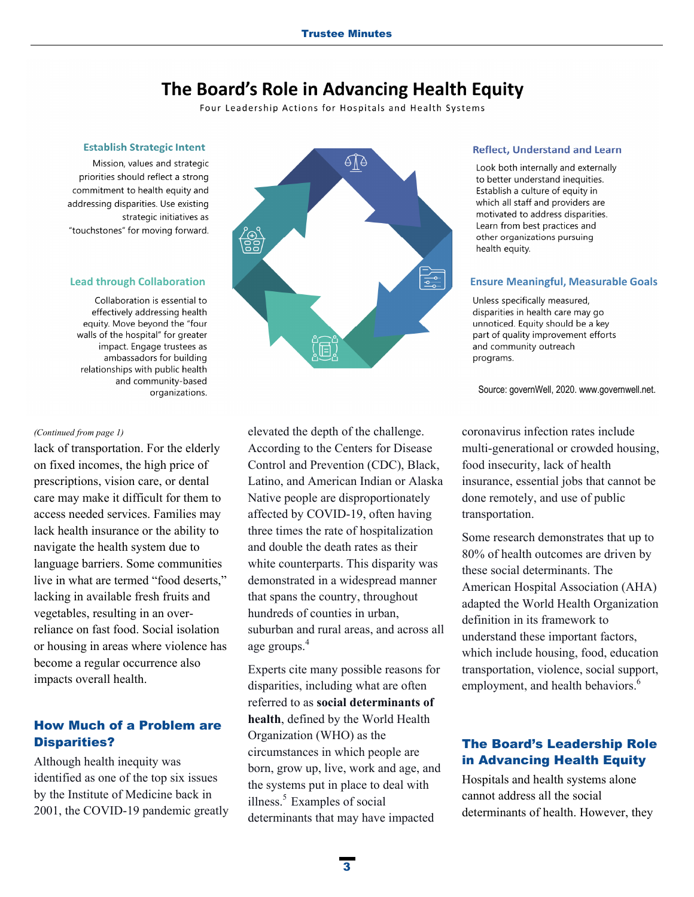# The Board's Role in Advancing Health Equity

Four Leadership Actions for Hospitals and Health Systems

#### **Establish Strategic Intent**

Mission, values and strategic priorities should reflect a strong commitment to health equity and addressing disparities. Use existing strategic initiatives as "touchstones" for moving forward.

#### **Lead through Collaboration**

Collaboration is essential to effectively addressing health equity. Move beyond the "four walls of the hospital" for greater impact. Engage trustees as ambassadors for building relationships with public health and community-based organizations.

#### *(Continued from page 1)*

lack of transportation. For the elderly on fixed incomes, the high price of prescriptions, vision care, or dental care may make it difficult for them to access needed services. Families may lack health insurance or the ability to navigate the health system due to language barriers. Some communities live in what are termed "food deserts," lacking in available fresh fruits and vegetables, resulting in an overreliance on fast food. Social isolation or housing in areas where violence has become a regular occurrence also impacts overall health.

# How Much of a Problem are Disparities?

Although health inequity was identified as one of the top six issues by the Institute of Medicine back in 2001, the COVID-19 pandemic greatly



elevated the depth of the challenge. According to the Centers for Disease Control and Prevention (CDC), Black, Latino, and American Indian or Alaska Native people are disproportionately affected by COVID-19, often having three times the rate of hospitalization and double the death rates as their white counterparts. This disparity was demonstrated in a widespread manner that spans the country, throughout hundreds of counties in urban, suburban and rural areas, and across all age groups.<sup>4</sup>

Experts cite many possible reasons for disparities, including what are often referred to as **social determinants of health**, defined by the World Health Organization (WHO) as the circumstances in which people are born, grow up, live, work and age, and the systems put in place to deal with illness. $5$  Examples of social determinants that may have impacted

#### **Reflect, Understand and Learn**

Look both internally and externally to better understand inequities. Establish a culture of equity in which all staff and providers are motivated to address disparities. Learn from best practices and other organizations pursuing health equity.

#### **Ensure Meaningful, Measurable Goals**

Unless specifically measured, disparities in health care may go unnoticed. Equity should be a key part of quality improvement efforts and community outreach programs.

Source: governWell, 2020. www.governwell.net.

coronavirus infection rates include multi-generational or crowded housing, food insecurity, lack of health insurance, essential jobs that cannot be done remotely, and use of public transportation.

Some research demonstrates that up to 80% of health outcomes are driven by these social determinants. The American Hospital Association (AHA) adapted the World Health Organization definition in its framework to understand these important factors, which include housing, food, education transportation, violence, social support, employment, and health behaviors.<sup>6</sup>

## The Board's Leadership Role in Advancing Health Equity

Hospitals and health systems alone cannot address all the social determinants of health. However, they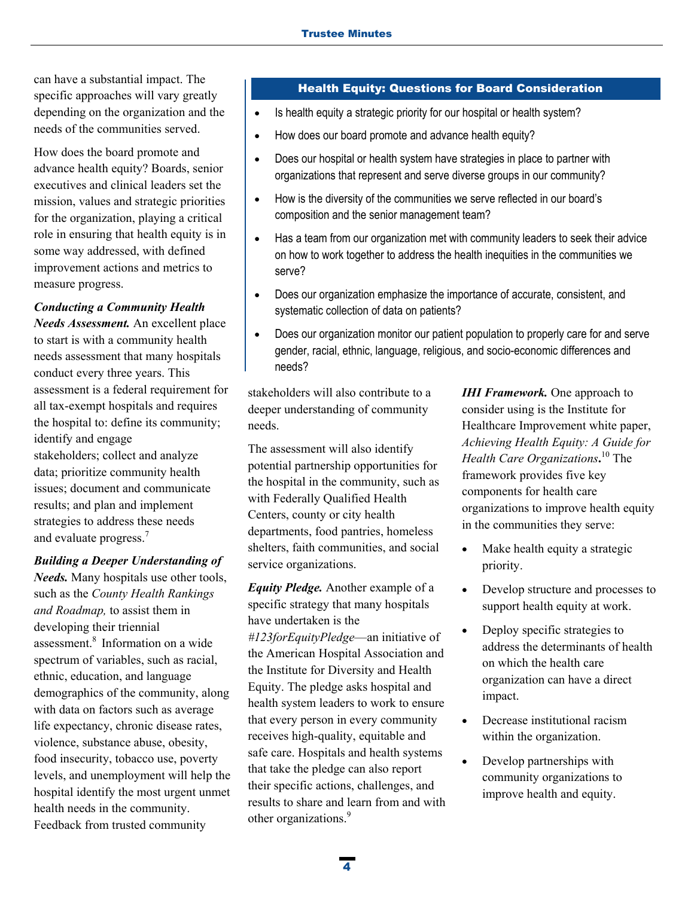can have a substantial impact. The specific approaches will vary greatly depending on the organization and the needs of the communities served.

How does the board promote and advance health equity? Boards, senior executives and clinical leaders set the mission, values and strategic priorities for the organization, playing a critical role in ensuring that health equity is in some way addressed, with defined improvement actions and metrics to measure progress.

#### *Conducting a Community Health*

*Needs Assessment.* An excellent place to start is with a community health needs assessment that many hospitals conduct every three years. This assessment is a federal requirement for all tax-exempt hospitals and requires the hospital to: define its community; identify and engage stakeholders; collect and analyze data; prioritize community health issues; document and communicate results; and plan and implement strategies to address these needs and evaluate progress.<sup>7</sup>

#### *Building a Deeper Understanding of*

*Needs.* Many hospitals use other tools, such as the *County Health Rankings and Roadmap,* to assist them in developing their triennial assessment.8 Information on a wide spectrum of variables, such as racial, ethnic, education, and language demographics of the community, along with data on factors such as average life expectancy, chronic disease rates, violence, substance abuse, obesity, food insecurity, tobacco use, poverty levels, and unemployment will help the hospital identify the most urgent unmet health needs in the community. Feedback from trusted community

## Health Equity: Questions for Board Consideration

- Is health equity a strategic priority for our hospital or health system?
- How does our board promote and advance health equity?
- Does our hospital or health system have strategies in place to partner with organizations that represent and serve diverse groups in our community?
- How is the diversity of the communities we serve reflected in our board's composition and the senior management team?
- Has a team from our organization met with community leaders to seek their advice on how to work together to address the health inequities in the communities we serve?
- Does our organization emphasize the importance of accurate, consistent, and systematic collection of data on patients?
- Does our organization monitor our patient population to properly care for and serve gender, racial, ethnic, language, religious, and socio-economic differences and needs?

stakeholders will also contribute to a deeper understanding of community needs.

The assessment will also identify potential partnership opportunities for the hospital in the community, such as with Federally Qualified Health Centers, county or city health departments, food pantries, homeless shelters, faith communities, and social service organizations.

*Equity Pledge.* Another example of a specific strategy that many hospitals have undertaken is the *#123forEquityPledge*—an initiative of the American Hospital Association and the Institute for Diversity and Health Equity. The pledge asks hospital and health system leaders to work to ensure that every person in every community receives high-quality, equitable and safe care. Hospitals and health systems that take the pledge can also report their specific actions, challenges, and results to share and learn from and with other organizations.<sup>9</sup>

*IHI Framework.* One approach to consider using is the Institute for Healthcare Improvement white paper, *Achieving Health Equity: A Guide for Health Care Organizations***.** 10 The framework provides five key components for health care organizations to improve health equity in the communities they serve:

- Make health equity a strategic priority.
- Develop structure and processes to support health equity at work.
- Deploy specific strategies to address the determinants of health on which the health care organization can have a direct impact.
- Decrease institutional racism within the organization.
- Develop partnerships with community organizations to improve health and equity.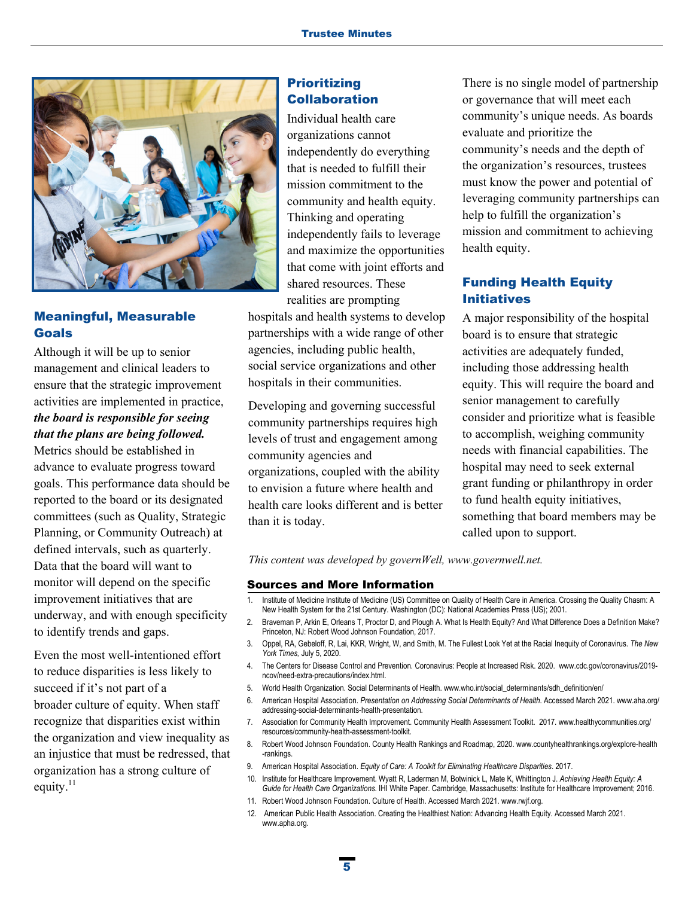

# Meaningful, Measurable Goals

Although it will be up to senior management and clinical leaders to ensure that the strategic improvement activities are implemented in practice, *the board is responsible for seeing that the plans are being followed.*  Metrics should be established in advance to evaluate progress toward goals. This performance data should be reported to the board or its designated committees (such as Quality, Strategic Planning, or Community Outreach) at

defined intervals, such as quarterly. Data that the board will want to monitor will depend on the specific improvement initiatives that are underway, and with enough specificity to identify trends and gaps.

Even the most well-intentioned effort to reduce disparities is less likely to succeed if it's not part of a broader culture of equity. When staff recognize that disparities exist within the organization and view inequality as an injustice that must be redressed, that organization has a strong culture of equity.<sup>11</sup>

### **Prioritizing** Collaboration

Individual health care organizations cannot independently do everything that is needed to fulfill their mission commitment to the community and health equity. Thinking and operating independently fails to leverage and maximize the opportunities that come with joint efforts and shared resources. These realities are prompting

hospitals and health systems to develop partnerships with a wide range of other agencies, including public health, social service organizations and other hospitals in their communities.

Developing and governing successful community partnerships requires high levels of trust and engagement among community agencies and organizations, coupled with the ability to envision a future where health and health care looks different and is better than it is today.

There is no single model of partnership or governance that will meet each community's unique needs. As boards evaluate and prioritize the community's needs and the depth of the organization's resources, trustees must know the power and potential of leveraging community partnerships can help to fulfill the organization's mission and commitment to achieving health equity.

# Funding Health Equity Initiatives

A major responsibility of the hospital board is to ensure that strategic activities are adequately funded, including those addressing health equity. This will require the board and senior management to carefully consider and prioritize what is feasible to accomplish, weighing community needs with financial capabilities. The hospital may need to seek external grant funding or philanthropy in order to fund health equity initiatives, something that board members may be called upon to support.

*This content was developed by governWell, www.governwell.net.* 

#### Sources and More Information

- 1. Institute of Medicine Institute of Medicine (US) Committee on Quality of Health Care in America. Crossing the Quality Chasm: A New Health System for the 21st Century. Washington (DC): National Academies Press (US); 2001.
- 2. Braveman P, Arkin E, Orleans T, Proctor D, and Plough A. What Is Health Equity? And What Difference Does a Definition Make? Princeton, NJ: Robert Wood Johnson Foundation, 2017.
- 3. Oppel, RA, Gebeloff, R, Lai, KKR, Wright, W, and Smith, M. The Fullest Look Yet at the Racial Inequity of Coronavirus. *The New York Times,* July 5, 2020.
- 4. The Centers for Disease Control and Prevention. Coronavirus: People at Increased Risk. 2020. www.cdc.gov/coronavirus/2019 ncov/need-extra-precautions/index.html.
- 5. World Health Organization. Social Determinants of Health. www.who.int/social\_determinants/sdh\_definition/en/
- 6. American Hospital Association. *Presentation on Addressing Social Determinants of Health*. Accessed March 2021. www.aha.org/ addressing-social-determinants-health-presentation.
- 7. Association for Community Health Improvement. Community Health Assessment Toolkit. 2017. www.healthycommunities.org/ resources/community-health-assessment-toolkit.
- 8. Robert Wood Johnson Foundation. County Health Rankings and Roadmap, 2020. www.countyhealthrankings.org/explore-health -rankings.
- 9. American Hospital Association. *Equity of Care: A Toolkit for Eliminating Healthcare Disparities*. 2017.
- 10. Institute for Healthcare Improvement. Wyatt R, Laderman M, Botwinick L, Mate K, Whittington J. *Achieving Health Equity: A Guide for Health Care Organizations*. IHI White Paper. Cambridge, Massachusetts: Institute for Healthcare Improvement; 2016.
- 11. Robert Wood Johnson Foundation. Culture of Health. Accessed March 2021. www.rwjf.org.
- 12. American Public Health Association. Creating the Healthiest Nation: Advancing Health Equity. Accessed March 2021. www.apha.org.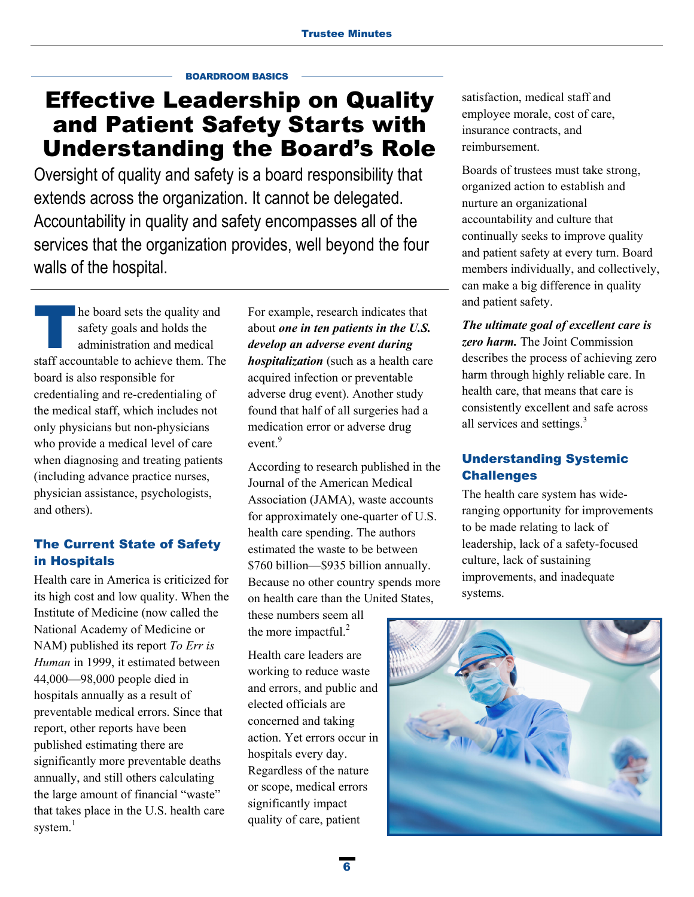#### BOARDROOM BASICS

# Effective Leadership on Quality and Patient Safety Starts with Understanding the Board's Role

Oversight of quality and safety is a board responsibility that extends across the organization. It cannot be delegated. Accountability in quality and safety encompasses all of the services that the organization provides, well beyond the four walls of the hospital.

he board sets the quality and safety goals and holds the administration and medical staff accountable to achieve them. The board is also responsible for credentialing and re-credentialing of the medical staff, which includes not only physicians but non-physicians who provide a medical level of care when diagnosing and treating patients (including advance practice nurses, physician assistance, psychologists, and others).

# The Current State of Safety in Hospitals

Health care in America is criticized for its high cost and low quality. When the Institute of Medicine (now called the National Academy of Medicine or NAM) published its report *To Err is Human* in 1999, it estimated between 44,000—98,000 people died in hospitals annually as a result of preventable medical errors. Since that report, other reports have been published estimating there are significantly more preventable deaths annually, and still others calculating the large amount of financial "waste" that takes place in the U.S. health care system.<sup>1</sup>

For example, research indicates that about *one in ten patients in the U.S. develop an adverse event during hospitalization* (such as a health care acquired infection or preventable adverse drug event). Another study found that half of all surgeries had a medication error or adverse drug event.<sup>9</sup>

According to research published in the Journal of the American Medical Association (JAMA), waste accounts for approximately one-quarter of U.S. health care spending. The authors estimated the waste to be between \$760 billion—\$935 billion annually. Because no other country spends more on health care than the United States,

these numbers seem all the more impactful. $^{2}$ 

Health care leaders are working to reduce waste and errors, and public and elected officials are concerned and taking action. Yet errors occur in hospitals every day. Regardless of the nature or scope, medical errors significantly impact quality of care, patient

satisfaction, medical staff and employee morale, cost of care, insurance contracts, and reimbursement.

Boards of trustees must take strong, organized action to establish and nurture an organizational accountability and culture that continually seeks to improve quality and patient safety at every turn. Board members individually, and collectively, can make a big difference in quality and patient safety.

*The ultimate goal of excellent care is zero harm.* The Joint Commission describes the process of achieving zero harm through highly reliable care. In health care, that means that care is consistently excellent and safe across all services and settings. $3$ 

# Understanding Systemic **Challenges**

The health care system has wideranging opportunity for improvements to be made relating to lack of leadership, lack of a safety-focused culture, lack of sustaining improvements, and inadequate systems.

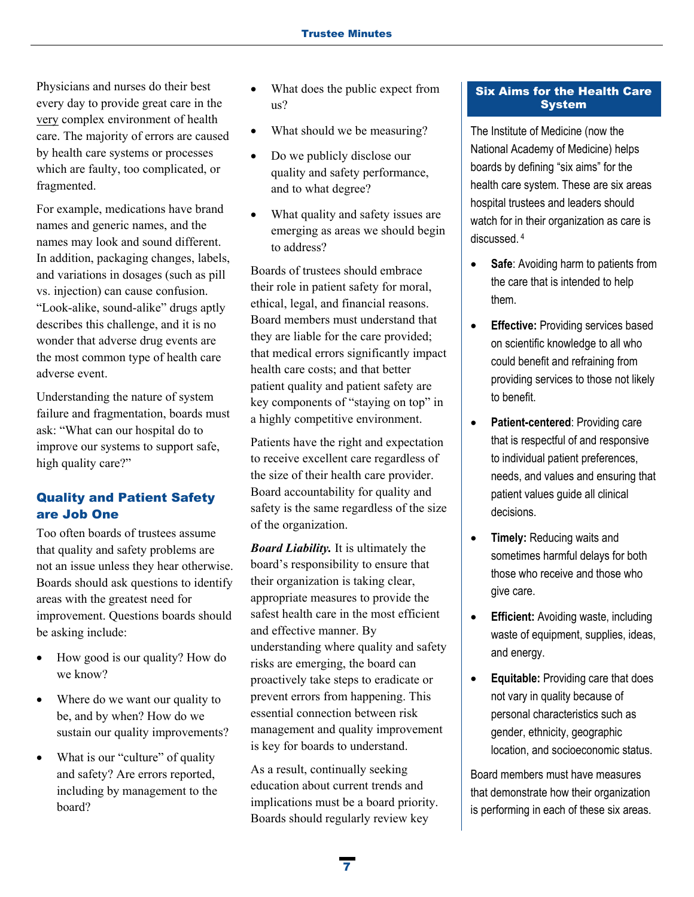Physicians and nurses do their best every day to provide great care in the very complex environment of health care. The majority of errors are caused by health care systems or processes which are faulty, too complicated, or fragmented.

For example, medications have brand names and generic names, and the names may look and sound different. In addition, packaging changes, labels, and variations in dosages (such as pill vs. injection) can cause confusion. "Look-alike, sound-alike" drugs aptly describes this challenge, and it is no wonder that adverse drug events are the most common type of health care adverse event.

Understanding the nature of system failure and fragmentation, boards must ask: "What can our hospital do to improve our systems to support safe, high quality care?"

# Quality and Patient Safety are Job One

Too often boards of trustees assume that quality and safety problems are not an issue unless they hear otherwise. Boards should ask questions to identify areas with the greatest need for improvement. Questions boards should be asking include:

- How good is our quality? How do we know?
- Where do we want our quality to be, and by when? How do we sustain our quality improvements?
- What is our "culture" of quality and safety? Are errors reported, including by management to the board?
- What does the public expect from us?
- What should we be measuring?
- Do we publicly disclose our quality and safety performance, and to what degree?
- What quality and safety issues are emerging as areas we should begin to address?

Boards of trustees should embrace their role in patient safety for moral, ethical, legal, and financial reasons. Board members must understand that they are liable for the care provided; that medical errors significantly impact health care costs; and that better patient quality and patient safety are key components of "staying on top" in a highly competitive environment.

Patients have the right and expectation to receive excellent care regardless of the size of their health care provider. Board accountability for quality and safety is the same regardless of the size of the organization.

*Board Liability.* It is ultimately the board's responsibility to ensure that their organization is taking clear, appropriate measures to provide the safest health care in the most efficient and effective manner. By understanding where quality and safety risks are emerging, the board can proactively take steps to eradicate or prevent errors from happening. This essential connection between risk management and quality improvement is key for boards to understand.

As a result, continually seeking education about current trends and implications must be a board priority. Boards should regularly review key

## Six Aims for the Health Care System

The Institute of Medicine (now the National Academy of Medicine) helps boards by defining "six aims" for the health care system. These are six areas hospital trustees and leaders should watch for in their organization as care is discussed. 4

- **Safe:** Avoiding harm to patients from the care that is intended to help them.
- **Effective:** Providing services based on scientific knowledge to all who could benefit and refraining from providing services to those not likely to benefit.
- **Patient-centered**: Providing care that is respectful of and responsive to individual patient preferences, needs, and values and ensuring that patient values guide all clinical decisions.
- **• Timely:** Reducing waits and sometimes harmful delays for both those who receive and those who give care.
- **Efficient:** Avoiding waste, including waste of equipment, supplies, ideas, and energy.
- **Equitable:** Providing care that does not vary in quality because of personal characteristics such as gender, ethnicity, geographic location, and socioeconomic status.

Board members must have measures that demonstrate how their organization is performing in each of these six areas.